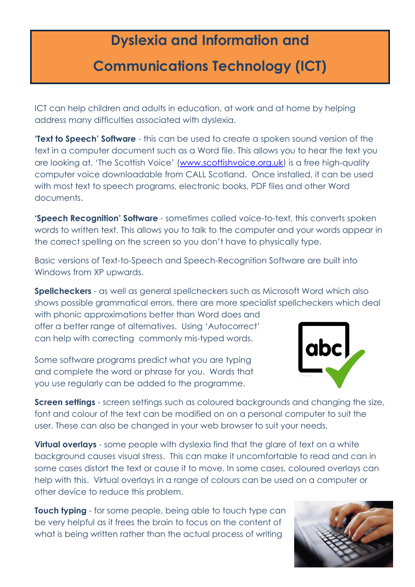## **Dyslexia and Information and**

## **Communications Technology (ICT)**

ICT can help children and adults in education, at work and at home by helping address many difficulties associated with dyslexia.

**'Text to Speech' Software** - this can be used to create a spoken sound version of the text in a computer document such as a Word file. This allows you to hear the text you are looking at. 'The Scottish Voice' ([www.scottishvoice.org.uk\)](http://www.scottishvoice.org.uk/) is a free high-quality computer voice downloadable from CALL Scotland. Once installed, it can be used with most text to speech programs, electronic books, PDF files and other Word documents.

**'Speech Recognition' Software** - sometimes called voice-to-text, this converts spoken words to written text. This allows you to talk to the computer and your words appear in the correct spelling on the screen so you don't have to physically type.

Basic versions of Text-to-Speech and Speech-Recognition Software are built into Windows from XP upwards.

**Spellcheckers** - as well as general spellcheckers such as Microsoft Word which also shows possible grammatical errors, there are more specialist spellcheckers which deal

with phonic approximations better than Word does and offer a better range of alternatives. Using 'Autocorrect' can help with correcting commonly mis-typed words.

Some software programs predict what you are typing and complete the word or phrase for you. Words that you use regularly can be added to the programme.



**Screen settings** - screen settings such as coloured backgrounds and changing the size, font and colour of the text can be modified on on a personal computer to suit the user. These can also be changed in your web browser to suit your needs.

**Virtual overlays** - some people with dyslexia find that the glare of text on a white background causes visual stress. This can make it uncomfortable to read and can in some cases distort the text or cause it to move. In some cases, coloured overlays can help with this. Virtual overlays in a range of colours can be used on a computer or other device to reduce this problem.

**Touch typing** - for some people, being able to touch type can be very helpful as it frees the brain to focus on the content of what is being written rather than the actual process of writing